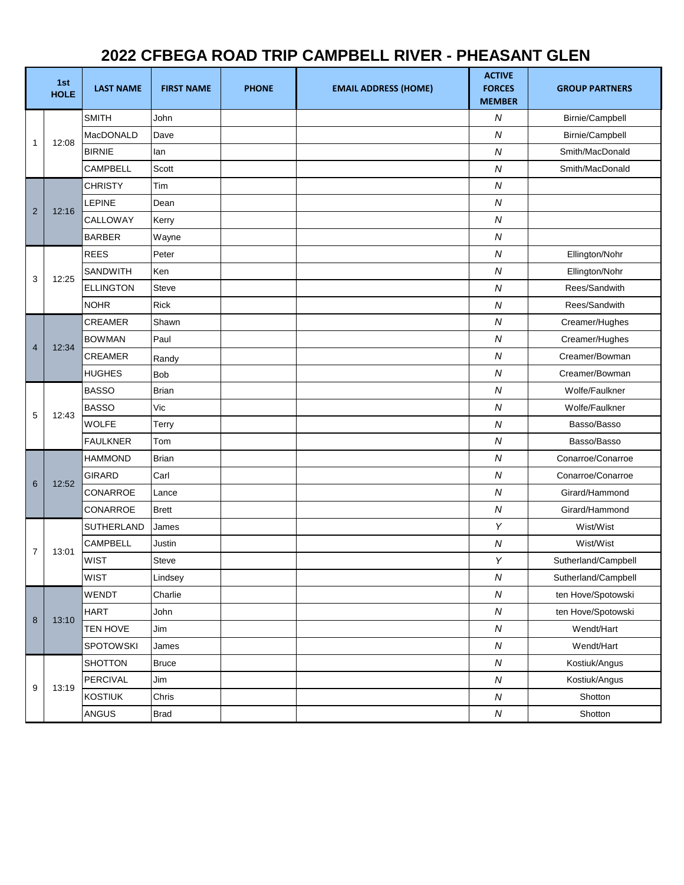## **2022 CFBEGA ROAD TRIP CAMPBELL RIVER - PHEASANT GLEN**

|                | 1st<br><b>HOLE</b> | <b>LAST NAME</b>  | <b>FIRST NAME</b> | <b>PHONE</b> | <b>EMAIL ADDRESS (HOME)</b> | <b>ACTIVE</b><br><b>FORCES</b><br><b>MEMBER</b> | <b>GROUP PARTNERS</b> |
|----------------|--------------------|-------------------|-------------------|--------------|-----------------------------|-------------------------------------------------|-----------------------|
| $\mathbf{1}$   | 12:08              | <b>SMITH</b>      | John              |              |                             | N                                               | Birnie/Campbell       |
|                |                    | MacDONALD         | Dave              |              |                             | $\overline{N}$                                  | Birnie/Campbell       |
|                |                    | <b>BIRNIE</b>     | lan               |              |                             | ${\cal N}$                                      | Smith/MacDonald       |
|                |                    | CAMPBELL          | Scott             |              |                             | ${\cal N}$                                      | Smith/MacDonald       |
| $\overline{2}$ | 12:16              | <b>CHRISTY</b>    | Tim               |              |                             | ${\cal N}$                                      |                       |
|                |                    | <b>LEPINE</b>     | Dean              |              |                             | ${\cal N}$                                      |                       |
|                |                    | CALLOWAY          | Kerry             |              |                             | ${\cal N}$                                      |                       |
|                |                    | <b>BARBER</b>     | Wayne             |              |                             | ${\cal N}$                                      |                       |
| 3              | 12:25              | <b>REES</b>       | Peter             |              |                             | ${\cal N}$                                      | Ellington/Nohr        |
|                |                    | SANDWITH          | Ken               |              |                             | ${\cal N}$                                      | Ellington/Nohr        |
|                |                    | <b>ELLINGTON</b>  | <b>Steve</b>      |              |                             | ${\cal N}$                                      | Rees/Sandwith         |
|                |                    | <b>NOHR</b>       | <b>Rick</b>       |              |                             | ${\cal N}$                                      | Rees/Sandwith         |
| $\overline{4}$ |                    | <b>CREAMER</b>    | Shawn             |              |                             | ${\cal N}$                                      | Creamer/Hughes        |
|                | 12:34              | <b>BOWMAN</b>     | Paul              |              |                             | ${\cal N}$                                      | Creamer/Hughes        |
|                |                    | <b>CREAMER</b>    | Randy             |              |                             | ${\cal N}$                                      | Creamer/Bowman        |
|                |                    | <b>HUGHES</b>     | Bob               |              |                             | ${\cal N}$                                      | Creamer/Bowman        |
| 5              | 12:43              | <b>BASSO</b>      | <b>Brian</b>      |              |                             | ${\cal N}$                                      | Wolfe/Faulkner        |
|                |                    | <b>BASSO</b>      | Vic               |              |                             | ${\cal N}$                                      | Wolfe/Faulkner        |
|                |                    | <b>WOLFE</b>      | Terry             |              |                             | $\overline{N}$                                  | Basso/Basso           |
|                |                    | <b>FAULKNER</b>   | Tom               |              |                             | $\overline{N}$                                  | Basso/Basso           |
|                | 12:52              | <b>HAMMOND</b>    | Brian             |              |                             | ${\cal N}$                                      | Conarroe/Conarroe     |
| 6              |                    | <b>GIRARD</b>     | Carl              |              |                             | ${\cal N}$                                      | Conarroe/Conarroe     |
|                |                    | CONARROE          | Lance             |              |                             | ${\cal N}$                                      | Girard/Hammond        |
|                |                    | CONARROE          | <b>Brett</b>      |              |                             | ${\cal N}$                                      | Girard/Hammond        |
| $\overline{7}$ | 13:01              | <b>SUTHERLAND</b> | James             |              |                             | Y                                               | Wist/Wist             |
|                |                    | <b>CAMPBELL</b>   | Justin            |              |                             | ${\cal N}$                                      | Wist/Wist             |
|                |                    | <b>WIST</b>       | Steve             |              |                             | Y                                               | Sutherland/Campbell   |
|                |                    | <b>WIST</b>       | Lindsey           |              |                             | ${\cal N}$                                      | Sutherland/Campbell   |
| $\bf 8$        | 13:10              | WENDT             | Charlie           |              |                             | ${\cal N}$                                      | ten Hove/Spotowski    |
|                |                    | <b>HART</b>       | John              |              |                             | ${\cal N}$                                      | ten Hove/Spotowski    |
|                |                    | TEN HOVE          | Jim               |              |                             | ${\cal N}$                                      | Wendt/Hart            |
|                |                    | SPOTOWSKI         | James             |              |                             | ${\cal N}$                                      | Wendt/Hart            |
| 9              | 13:19              | SHOTTON           | <b>Bruce</b>      |              |                             | ${\cal N}$                                      | Kostiuk/Angus         |
|                |                    | PERCIVAL          | Jim               |              |                             | ${\cal N}$                                      | Kostiuk/Angus         |
|                |                    | <b>KOSTIUK</b>    | Chris             |              |                             | ${\cal N}$                                      | Shotton               |
|                |                    | ANGUS             | <b>Brad</b>       |              |                             | ${\cal N}$                                      | Shotton               |